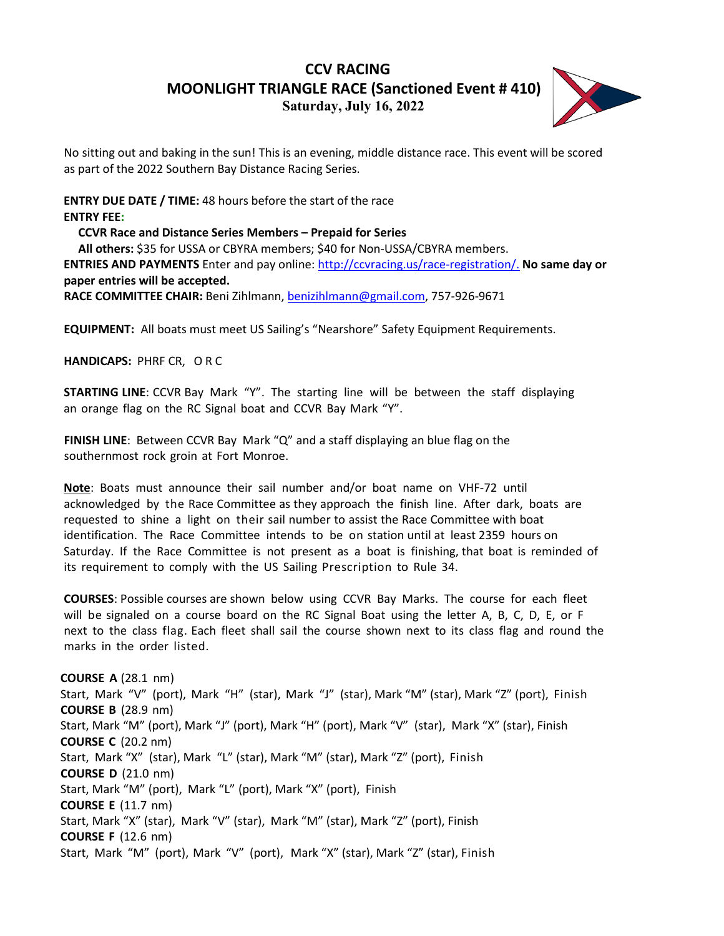## **CCV RACING MOONLIGHT TRIANGLE RACE (Sanctioned Event # 410) Saturday, July 16, 2022**



No sitting out and baking in the sun! This is an evening, middle distance race. This event will be scored as part of the 2022 Southern Bay Distance Racing Series.

**ENTRY DUE DATE / TIME:** 48 hours before the start of the race **ENTRY FEE:**

**CCVR Race and Distance Series Members – Prepaid for Series All others:** \$35 for USSA or CBYRA members; \$40 for Non-USSA/CBYRA members. **ENTRIES AND PAYMENTS** Enter and pay online: [http://ccvracing.us/race-registration/.](http://ccvracing.us/race-registration/) **No same day or paper entries will be accepted. RACE COMMITTEE CHAIR:** Beni Zihlmann, [benizihlmann@gmail.com,](mailto:benizihlmann@gmail.com) 757-926-9671

**EQUIPMENT:** All boats must meet US Sailing's "Nearshore" Safety Equipment Requirements.

**HANDICAPS:** PHRF CR, ORC

**STARTING LINE**: CCVR Bay Mark "Y". The starting line will be between the staff displaying an orange flag on the RC Signal boat and CCVR Bay Mark "Y".

**FINISH LINE**: Between CCVR Bay Mark "Q" and a staff displaying an blue flag on the southernmost rock groin at Fort Monroe.

**Note**: Boats must announce their sail number and/or boat name on VHF-72 until acknowledged by the Race Committee as they approach the finish line. After dark, boats are requested to shine a light on their sail number to assist the Race Committee with boat identification. The Race Committee intends to be on station until at least 2359 hours on Saturday. If the Race Committee is not present as a boat is finishing, that boat is reminded of its requirement to comply with the US Sailing Prescription to Rule 34.

**COURSES**: Possible courses are shown below using CCVR Bay Marks. The course for each fleet will be signaled on a course board on the RC Signal Boat using the letter A, B, C, D, E, or F next to the class flag. Each fleet shall sail the course shown next to its class flag and round the marks in the order listed.

**COURSE A** (28.1 nm) Start, Mark "V" (port), Mark "H" (star), Mark "J" (star), Mark "M" (star), Mark "Z" (port), Finish **COURSE B** (28.9 nm) Start, Mark "M" (port), Mark "J" (port), Mark "H" (port), Mark "V" (star), Mark "X" (star), Finish **COURSE C** (20.2 nm) Start, Mark "X" (star), Mark "L" (star), Mark "M" (star), Mark "Z" (port), Finish **COURSE D** (21.0 nm) Start, Mark "M" (port), Mark "L" (port), Mark "X" (port), Finish **COURSE E** (11.7 nm) Start, Mark "X" (star), Mark "V" (star), Mark "M" (star), Mark "Z" (port), Finish **COURSE F** (12.6 nm) Start, Mark "M" (port), Mark "V" (port), Mark "X" (star), Mark "Z" (star), Finish